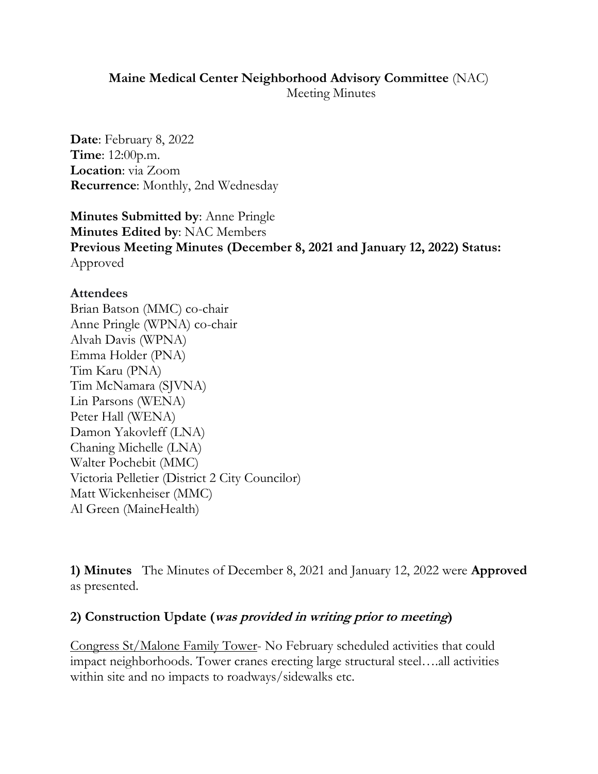#### **Maine Medical Center Neighborhood Advisory Committee** (NAC) Meeting Minutes

**Date**: February 8, 2022 **Time**: 12:00p.m. **Location**: via Zoom **Recurrence**: Monthly, 2nd Wednesday

**Minutes Submitted by**: Anne Pringle **Minutes Edited by**: NAC Members **Previous Meeting Minutes (December 8, 2021 and January 12, 2022) Status:** Approved

#### **Attendees**

Brian Batson (MMC) co-chair Anne Pringle (WPNA) co-chair Alvah Davis (WPNA) Emma Holder (PNA) Tim Karu (PNA) Tim McNamara (SJVNA) Lin Parsons (WENA) Peter Hall (WENA) Damon Yakovleff (LNA) Chaning Michelle (LNA) Walter Pochebit (MMC) Victoria Pelletier (District 2 City Councilor) Matt Wickenheiser (MMC) Al Green (MaineHealth)

**1) Minutes** The Minutes of December 8, 2021 and January 12, 2022 were **Approved** as presented.

### **2) Construction Update (was provided in writing prior to meeting)**

Congress St/Malone Family Tower- No February scheduled activities that could impact neighborhoods. Tower cranes erecting large structural steel….all activities within site and no impacts to roadways/sidewalks etc.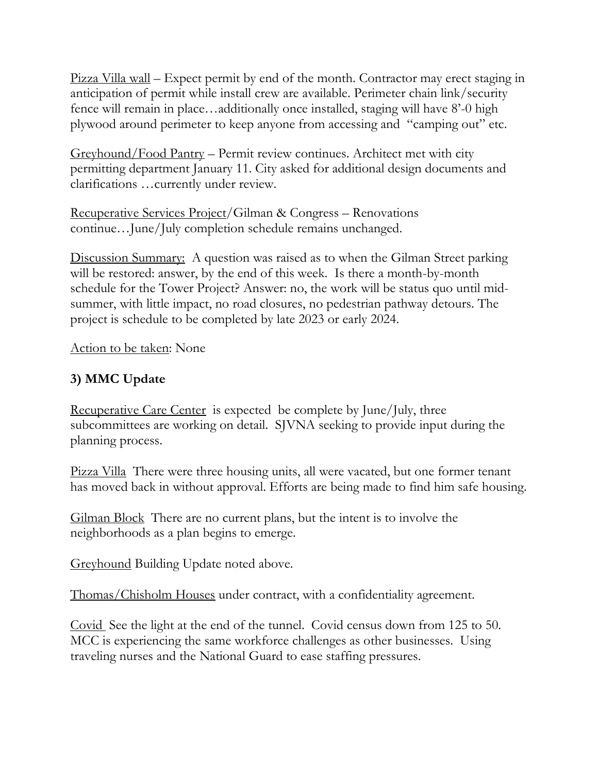Pizza Villa wall – Expect permit by end of the month. Contractor may erect staging in anticipation of permit while install crew are available. Perimeter chain link/security fence will remain in place…additionally once installed, staging will have 8'-0 high plywood around perimeter to keep anyone from accessing and "camping out" etc.

Greyhound/Food Pantry – Permit review continues. Architect met with city permitting department January 11. City asked for additional design documents and clarifications …currently under review.

Recuperative Services Project/Gilman & Congress – Renovations continue…June/July completion schedule remains unchanged.

Discussion Summary: A question was raised as to when the Gilman Street parking will be restored: answer, by the end of this week. Is there a month-by-month schedule for the Tower Project? Answer: no, the work will be status quo until midsummer, with little impact, no road closures, no pedestrian pathway detours. The project is schedule to be completed by late 2023 or early 2024.

Action to be taken: None

# **3) MMC Update**

Recuperative Care Center is expected be complete by June/July, three subcommittees are working on detail. SJVNA seeking to provide input during the planning process.

Pizza Villa There were three housing units, all were vacated, but one former tenant has moved back in without approval. Efforts are being made to find him safe housing.

Gilman Block There are no current plans, but the intent is to involve the neighborhoods as a plan begins to emerge.

Greyhound Building Update noted above.

Thomas/Chisholm Houses under contract, with a confidentiality agreement.

Covid See the light at the end of the tunnel. Covid census down from 125 to 50. MCC is experiencing the same workforce challenges as other businesses. Using traveling nurses and the National Guard to ease staffing pressures.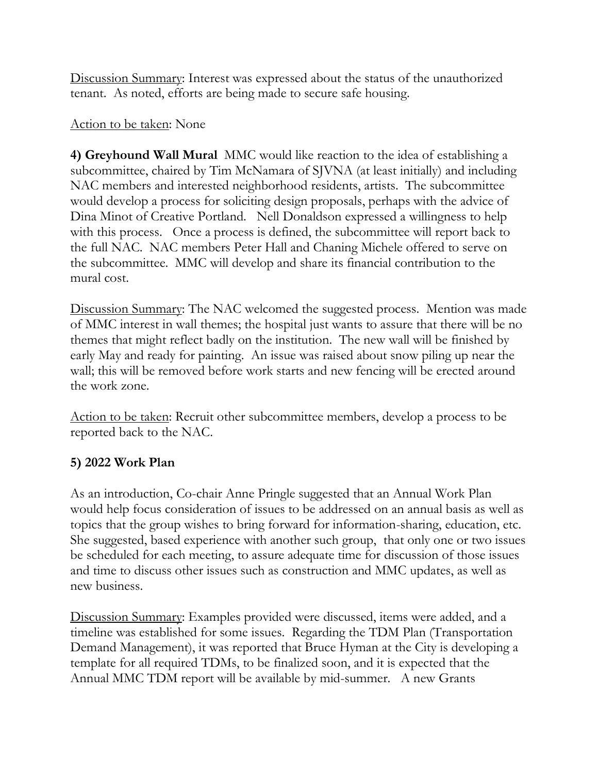Discussion Summary: Interest was expressed about the status of the unauthorized tenant. As noted, efforts are being made to secure safe housing.

## Action to be taken: None

**4) Greyhound Wall Mural** MMC would like reaction to the idea of establishing a subcommittee, chaired by Tim McNamara of SJVNA (at least initially) and including NAC members and interested neighborhood residents, artists. The subcommittee would develop a process for soliciting design proposals, perhaps with the advice of Dina Minot of Creative Portland. Nell Donaldson expressed a willingness to help with this process. Once a process is defined, the subcommittee will report back to the full NAC. NAC members Peter Hall and Chaning Michele offered to serve on the subcommittee. MMC will develop and share its financial contribution to the mural cost.

Discussion Summary: The NAC welcomed the suggested process. Mention was made of MMC interest in wall themes; the hospital just wants to assure that there will be no themes that might reflect badly on the institution. The new wall will be finished by early May and ready for painting. An issue was raised about snow piling up near the wall; this will be removed before work starts and new fencing will be erected around the work zone.

Action to be taken: Recruit other subcommittee members, develop a process to be reported back to the NAC.

# **5) 2022 Work Plan**

As an introduction, Co-chair Anne Pringle suggested that an Annual Work Plan would help focus consideration of issues to be addressed on an annual basis as well as topics that the group wishes to bring forward for information-sharing, education, etc. She suggested, based experience with another such group, that only one or two issues be scheduled for each meeting, to assure adequate time for discussion of those issues and time to discuss other issues such as construction and MMC updates, as well as new business.

Discussion Summary: Examples provided were discussed, items were added, and a timeline was established for some issues. Regarding the TDM Plan (Transportation Demand Management), it was reported that Bruce Hyman at the City is developing a template for all required TDMs, to be finalized soon, and it is expected that the Annual MMC TDM report will be available by mid-summer. A new Grants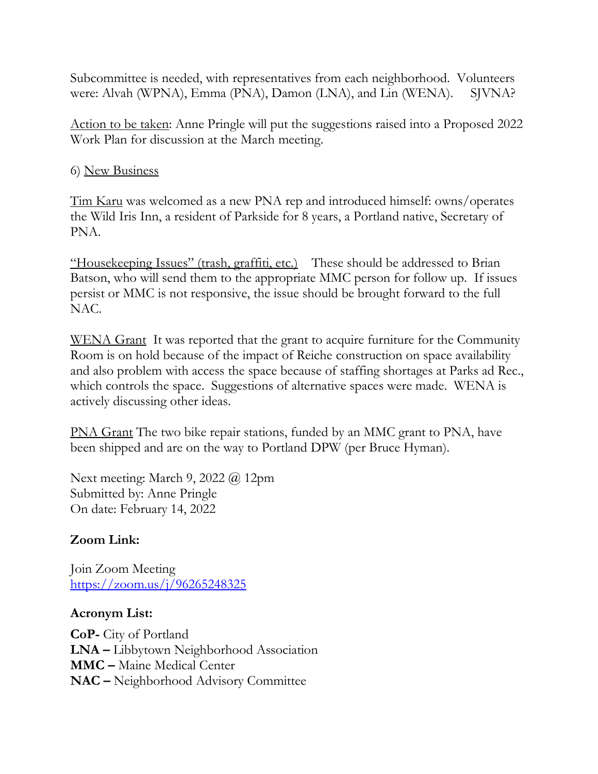Subcommittee is needed, with representatives from each neighborhood. Volunteers were: Alvah (WPNA), Emma (PNA), Damon (LNA), and Lin (WENA). SJVNA?

Action to be taken: Anne Pringle will put the suggestions raised into a Proposed 2022 Work Plan for discussion at the March meeting.

6) New Business

Tim Karu was welcomed as a new PNA rep and introduced himself: owns/operates the Wild Iris Inn, a resident of Parkside for 8 years, a Portland native, Secretary of PNA.

"Housekeeping Issues" (trash, graffiti, etc.) These should be addressed to Brian Batson, who will send them to the appropriate MMC person for follow up. If issues persist or MMC is not responsive, the issue should be brought forward to the full NAC.

WENA Grant It was reported that the grant to acquire furniture for the Community Room is on hold because of the impact of Reiche construction on space availability and also problem with access the space because of staffing shortages at Parks ad Rec., which controls the space. Suggestions of alternative spaces were made. WENA is actively discussing other ideas.

PNA Grant The two bike repair stations, funded by an MMC grant to PNA, have been shipped and are on the way to Portland DPW (per Bruce Hyman).

Next meeting: March 9, 2022 @ 12pm Submitted by: Anne Pringle On date: February 14, 2022

# **Zoom Link:**

Join Zoom Meeting <https://zoom.us/j/96265248325>

# **Acronym List:**

**CoP-** City of Portland **LNA –** Libbytown Neighborhood Association **MMC –** Maine Medical Center **NAC –** Neighborhood Advisory Committee